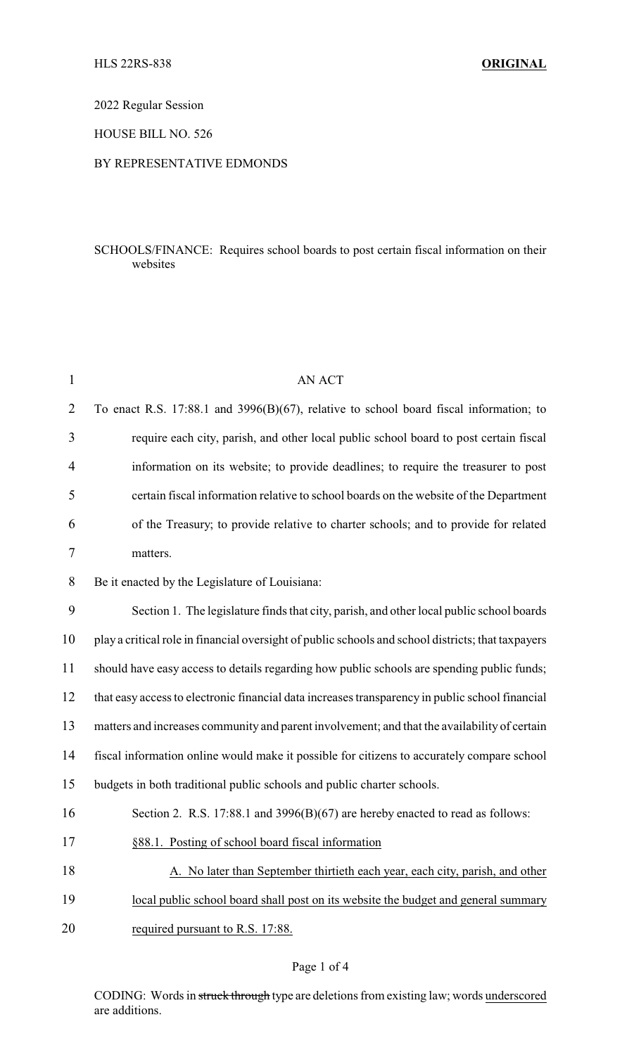2022 Regular Session

HOUSE BILL NO. 526

## BY REPRESENTATIVE EDMONDS

## SCHOOLS/FINANCE: Requires school boards to post certain fiscal information on their websites

| $\mathbf{1}$   | <b>AN ACT</b>                                                                                      |
|----------------|----------------------------------------------------------------------------------------------------|
| $\overline{2}$ | To enact R.S. 17:88.1 and $3996(B)(67)$ , relative to school board fiscal information; to          |
| 3              | require each city, parish, and other local public school board to post certain fiscal              |
| 4              | information on its website; to provide deadlines; to require the treasurer to post                 |
| 5              | certain fiscal information relative to school boards on the website of the Department              |
| 6              | of the Treasury; to provide relative to charter schools; and to provide for related                |
| 7              | matters.                                                                                           |
| 8              | Be it enacted by the Legislature of Louisiana:                                                     |
| 9              | Section 1. The legislature finds that city, parish, and other local public school boards           |
| 10             | play a critical role in financial oversight of public schools and school districts; that taxpayers |
| 11             | should have easy access to details regarding how public schools are spending public funds;         |
| 12             | that easy access to electronic financial data increases transparency in public school financial    |
| 13             | matters and increases community and parent involvement; and that the availability of certain       |
| 14             | fiscal information online would make it possible for citizens to accurately compare school         |
| 15             | budgets in both traditional public schools and public charter schools.                             |
| 16             | Section 2. R.S. 17:88.1 and $3996(B)(67)$ are hereby enacted to read as follows:                   |
| 17             | §88.1. Posting of school board fiscal information                                                  |
| 18             | A. No later than September thirtieth each year, each city, parish, and other                       |
| 19             | local public school board shall post on its website the budget and general summary                 |
| 20             | required pursuant to R.S. 17:88.                                                                   |
|                |                                                                                                    |

## Page 1 of 4

CODING: Words in struck through type are deletions from existing law; words underscored are additions.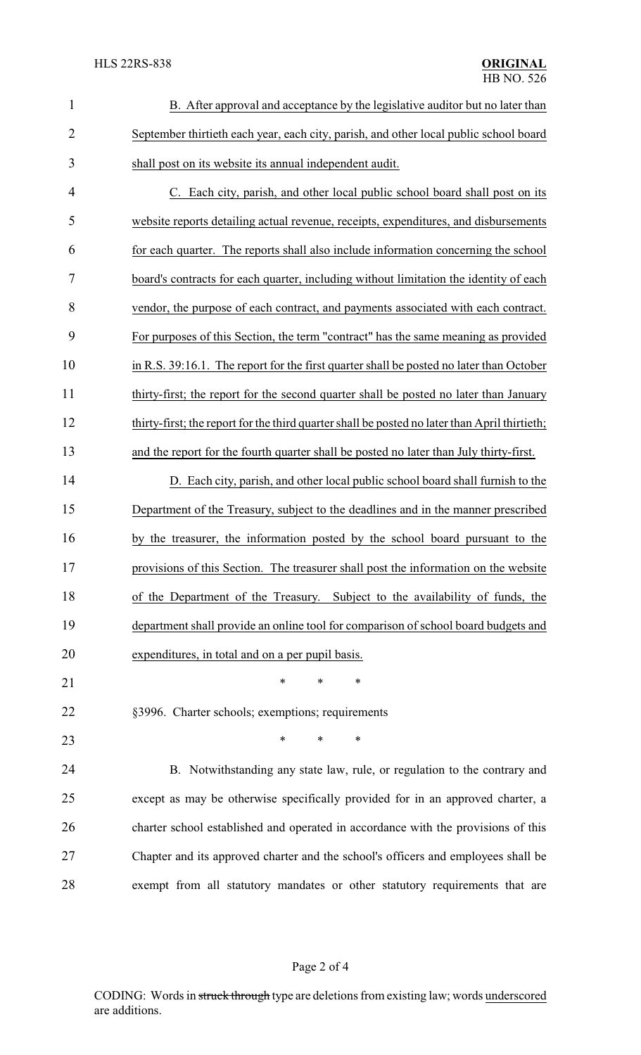| $\mathbf{1}$   | B. After approval and acceptance by the legislative auditor but no later than                 |
|----------------|-----------------------------------------------------------------------------------------------|
| $\overline{2}$ | September thirtieth each year, each city, parish, and other local public school board         |
| 3              | shall post on its website its annual independent audit.                                       |
| 4              | C. Each city, parish, and other local public school board shall post on its                   |
| 5              | website reports detailing actual revenue, receipts, expenditures, and disbursements           |
| 6              | for each quarter. The reports shall also include information concerning the school            |
| 7              | board's contracts for each quarter, including without limitation the identity of each         |
| 8              | vendor, the purpose of each contract, and payments associated with each contract.             |
| 9              | For purposes of this Section, the term "contract" has the same meaning as provided            |
| 10             | in R.S. 39:16.1. The report for the first quarter shall be posted no later than October       |
| 11             | thirty-first; the report for the second quarter shall be posted no later than January         |
| 12             | thirty-first; the report for the third quarter shall be posted no later than April thirtieth; |
| 13             | and the report for the fourth quarter shall be posted no later than July thirty-first.        |
| 14             | D. Each city, parish, and other local public school board shall furnish to the                |
| 15             | Department of the Treasury, subject to the deadlines and in the manner prescribed             |
| 16             | by the treasurer, the information posted by the school board pursuant to the                  |
| 17             | provisions of this Section. The treasurer shall post the information on the website           |
| 18             | of the Department of the Treasury. Subject to the availability of funds, the                  |
| 19             | department shall provide an online tool for comparison of school board budgets and            |
| 20             | expenditures, in total and on a per pupil basis.                                              |
| 21             | $\ast$<br>*<br>∗                                                                              |
| 22             | §3996. Charter schools; exemptions; requirements                                              |
| 23             | $\ast$<br>$\ast$<br>*                                                                         |
| 24             | B. Notwithstanding any state law, rule, or regulation to the contrary and                     |
| 25             | except as may be otherwise specifically provided for in an approved charter, a                |
| 26             | charter school established and operated in accordance with the provisions of this             |
| 27             | Chapter and its approved charter and the school's officers and employees shall be             |
| 28             | exempt from all statutory mandates or other statutory requirements that are                   |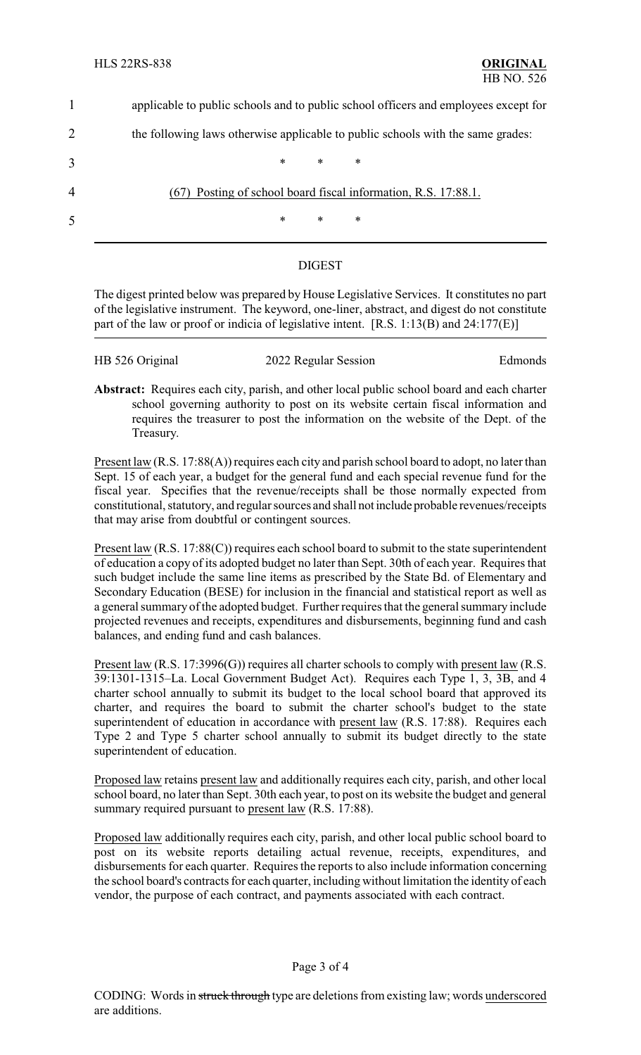|   | applicable to public schools and to public school officers and employees except for |
|---|-------------------------------------------------------------------------------------|
| 2 | the following laws otherwise applicable to public schools with the same grades:     |
| 3 | $*$ *<br>∗                                                                          |
| 4 | (67) Posting of school board fiscal information, R.S. 17:88.1.                      |
| 5 | $\ast$<br>$*$<br>∗                                                                  |
|   |                                                                                     |

## DIGEST

The digest printed below was prepared by House Legislative Services. It constitutes no part of the legislative instrument. The keyword, one-liner, abstract, and digest do not constitute part of the law or proof or indicia of legislative intent. [R.S. 1:13(B) and 24:177(E)]

| HB 526 Original | 2022 Regular Session | Edmonds |
|-----------------|----------------------|---------|
|                 |                      |         |

**Abstract:** Requires each city, parish, and other local public school board and each charter school governing authority to post on its website certain fiscal information and requires the treasurer to post the information on the website of the Dept. of the Treasury.

Present law (R.S. 17:88(A)) requires each city and parish school board to adopt, no later than Sept. 15 of each year, a budget for the general fund and each special revenue fund for the fiscal year. Specifies that the revenue/receipts shall be those normally expected from constitutional, statutory, and regular sources and shall not include probable revenues/receipts that may arise from doubtful or contingent sources.

Present law (R.S. 17:88(C)) requires each school board to submit to the state superintendent of education a copy of its adopted budget no later than Sept. 30th of each year. Requires that such budget include the same line items as prescribed by the State Bd. of Elementary and Secondary Education (BESE) for inclusion in the financial and statistical report as well as a general summary of the adopted budget. Further requires that the general summary include projected revenues and receipts, expenditures and disbursements, beginning fund and cash balances, and ending fund and cash balances.

Present law (R.S. 17:3996(G)) requires all charter schools to comply with present law (R.S. 39:1301-1315–La. Local Government Budget Act). Requires each Type 1, 3, 3B, and 4 charter school annually to submit its budget to the local school board that approved its charter, and requires the board to submit the charter school's budget to the state superintendent of education in accordance with present law (R.S. 17:88). Requires each Type 2 and Type 5 charter school annually to submit its budget directly to the state superintendent of education.

Proposed law retains present law and additionally requires each city, parish, and other local school board, no later than Sept. 30th each year, to post on its website the budget and general summary required pursuant to present law (R.S. 17:88).

Proposed law additionally requires each city, parish, and other local public school board to post on its website reports detailing actual revenue, receipts, expenditures, and disbursements for each quarter. Requires the reports to also include information concerning the school board's contracts for each quarter, including without limitation the identity of each vendor, the purpose of each contract, and payments associated with each contract.